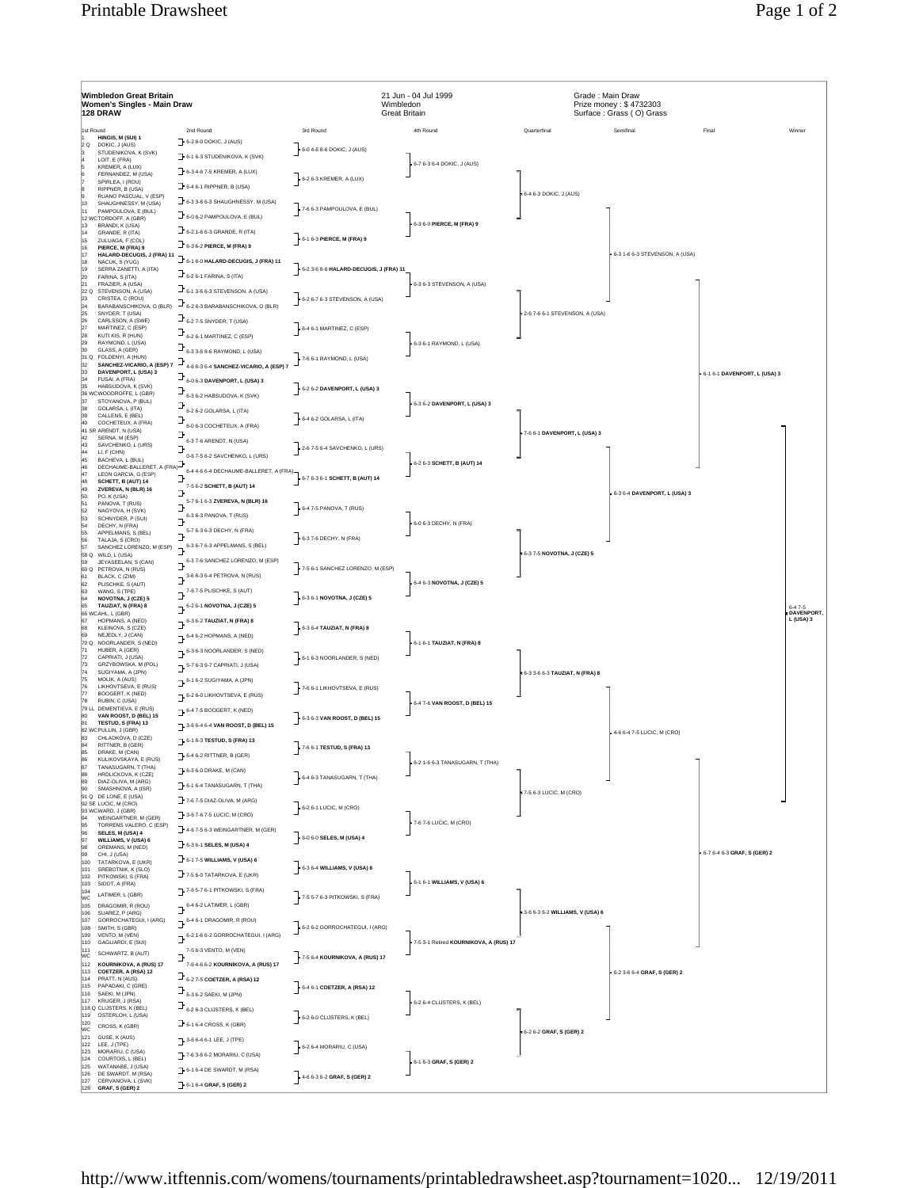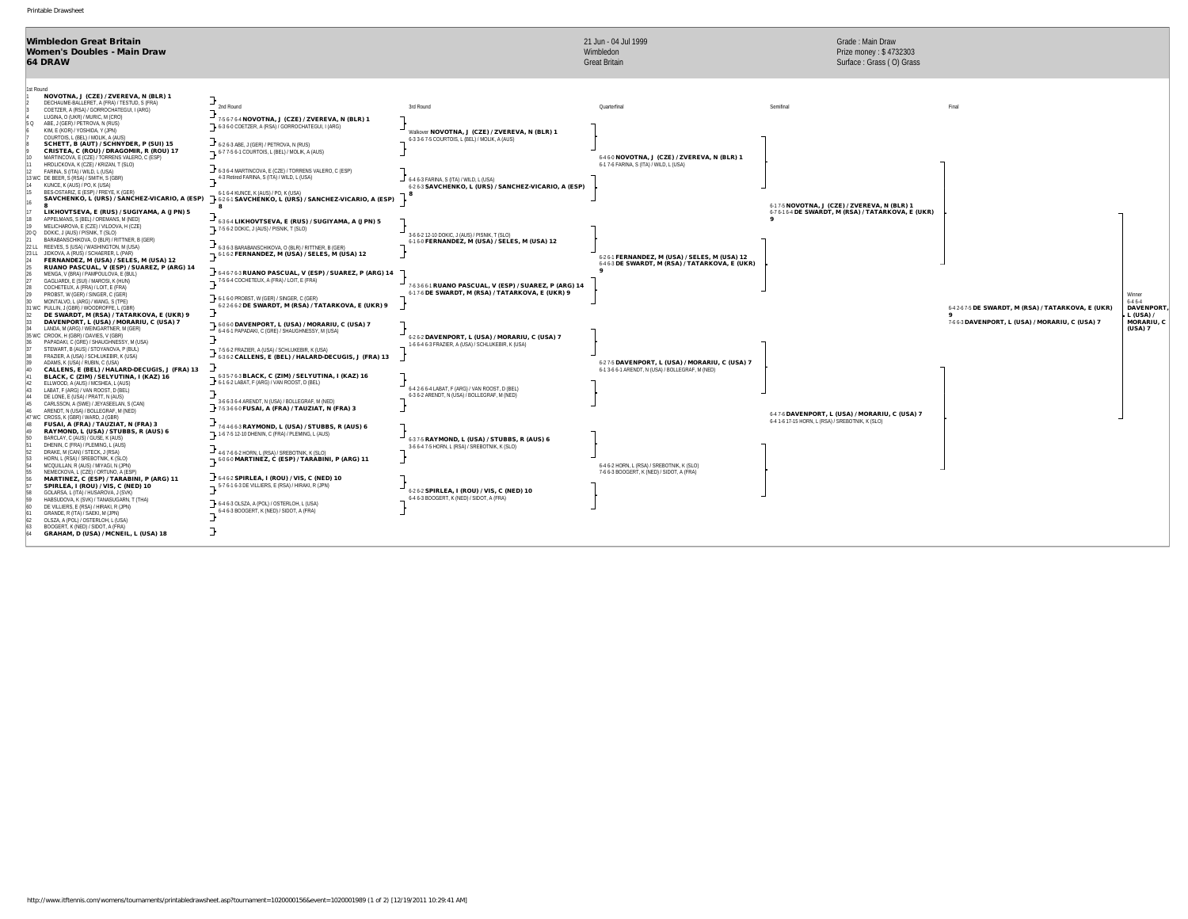| <b>Wimbledon Great Britain</b><br>Women's Doubles - Main Draw<br><b>64 DRAW</b>                                                                                                                                                                                                                                                                                                                    |                                                                                                                                                                                                                                         | 21 Jun - 04 Jul 1999<br>Wimbledon<br><b>Great Britain</b>                                           | Grade: Main Draw<br>Prize money: \$4732303<br>Surface: Grass (O) Grass                              |                                                                                                        |                                                                        |
|----------------------------------------------------------------------------------------------------------------------------------------------------------------------------------------------------------------------------------------------------------------------------------------------------------------------------------------------------------------------------------------------------|-----------------------------------------------------------------------------------------------------------------------------------------------------------------------------------------------------------------------------------------|-----------------------------------------------------------------------------------------------------|-----------------------------------------------------------------------------------------------------|--------------------------------------------------------------------------------------------------------|------------------------------------------------------------------------|
| 1st Round<br>NOVOTNA, J (CZE) / ZVEREVA, N (BLR) 1<br>DECHAUME-BALLERET, A (FRA) / TESTUD, S (FRA)<br>2nd Round<br>COETZER, A (RSA) / GORROCHATEGUI, I (ARG)<br>LUGINA, O (UKR) / MURIC, M (CRO)<br>ABE, J (GER) / PETROVA, N (RUS)<br>5 Q<br>6-3 6-0 COETZER, A (RSA) / GORROCHATEGUI, I (ARG)                                                                                                    | 3rd Round<br>7-5 6-7 6-4 NOVOTNA, J (CZE) / ZVEREVA, N (BLR) 1                                                                                                                                                                          | Quarterfinal                                                                                        | Semifinal                                                                                           | Final                                                                                                  |                                                                        |
| KIM, E (KOR) / YOSHIDA, Y (JPN)<br>COURTOIS, L (BEL) / MOLIK, A (AUS)<br>$-$ 6-2 6-3 ABE, J (GER) / PETROVA, N (RUS)<br>SCHETT, B (AUT) / SCHNYDER, P (SUI) 15<br>CRISTEA, C (ROU) / DRAGOMIR, R (ROU) 17<br>6-7 7-5 6-1 COURTOIS, L (BEL) / MOLIK, A (AUS)<br>MARTINCOVA, E (CZE) / TORRENS VALERO, C (ESP)<br>10 <sup>10</sup>                                                                   | Walkover NOVOTNA, J (CZE) / ZVEREVA, N (BLR) 1<br>6-3 3-6 7-5 COURTOIS, L (BEL) / MOLIK, A (AUS)                                                                                                                                        | 6-46-0 NOVOTNA, J (CZE) / ZVEREVA, N (BLR) 1                                                        |                                                                                                     |                                                                                                        |                                                                        |
| HRDLICKOVA, K (CZE) / KRIZAN, T (SLO)<br>111<br>6-3 6-4 MARTINCOVA, E (CZE) / TORRENS VALERO, C (ESP)<br>12<br>FARINA, S (ITA) / WILD, L (USA)<br>4-3 Retired FARINA, S (ITA) / WILD, L (USA)<br>13 WC DE BEER, S (RSA) / SMITH, S (GBR)<br>KUNCE, K (AUS) / PO, K (USA)<br> 14<br>BES-OSTARIZ, E (ESP) / FREYE, K (GER)<br>15<br>6-1 6-4 KUNCE, K (AUS) / PO, K (USA)                             | 6-4 6-3 FARINA. S (ITA) / WILD. L (USA)<br>6-2 6-3 SAVCHENKO, L (URS) / SANCHEZ-VICARIO, A (ESP)                                                                                                                                        | 6-1 7-6 FARINA, S (ITA) / WILD, L (USA)                                                             |                                                                                                     |                                                                                                        |                                                                        |
| SAVCHENKO, L (URS) / SANCHEZ-VICARIO, A (ESP)<br>LIKHOVTSEVA, E (RUS) / SUGIYAMA, A (JPN) 5<br>17<br>APPELMANS, S (BEL) / OREMANS, M (NED)<br>18<br>19<br>MELICHAROVA, E (CZE) / VILDOVA, H (CZE)                                                                                                                                                                                                  | 6-2 6-1 SAVCHENKO, L (URS) / SANCHEZ-VICARIO, A (ESP)<br>6-36-4 LIKHOVTSEVA, E (RUS) / SUGIYAMA, A (JPN) 5                                                                                                                              |                                                                                                     | 6-17-5 NOVOTNA, J (CZE) / ZVEREVA, N (BLR) 1<br>6-76-16-4 DE SWARDT, M (RSA) / TATARKOVA, E (UKR)   |                                                                                                        |                                                                        |
| 7- 7-5 6-2 DOKIC, J (AUS) / PISNIK, T (SLO)<br>20 Q DOKIC, J (AUS) / PISNIK, T (SLO)<br>BARABANSCHIKOVA, O (BLR) / RITTNER, B (GER)<br>$-$ 6-3 6-3 BARABANSCHIKOVA, O (BLR) / RITTNER, B (GER)<br>22 LL REEVES, S (USA) / WASHINGTON, M (USA)<br>JIDKOVA, A (RUS) / SCHAERER, L (PAR)<br>23 LL<br>12 6-16-2 FERNANDEZ, M (USA) / SELES, M (USA) 12<br>FERNANDEZ, M (USA) / SELES, M (USA) 12<br>24 | 3-6 6-2 12-10 DOKIC, J (AUS) / PISNIK, T (SLO)<br>6-16-0 FERNANDEZ, M (USA) / SELES, M (USA) 12                                                                                                                                         | 6-26-1 FERNANDEZ, M (USA) / SELES, M (USA) 12                                                       |                                                                                                     |                                                                                                        |                                                                        |
| RUANO PASCUAL, V (ESP) / SUAREZ, P (ARG) 14<br>25<br>MENGA, V (BRA) / PAMPOULOVA, E (BUL)<br>76<br>7-5 6-4 COCHETEUX, A (FRA) / LOIT, E (FRA)<br>GAGLIARDI, E (SUI) / MAROSI, K (HUN)<br>27<br>COCHETEUX, A (FRA) / LOIT, E (FRA)<br>28<br>PROBST. W (GER) / SINGER. C (GER)<br>29                                                                                                                 | 6-46-76-3 RUANO PASCUAL, V (ESP) / SUAREZ, P (ARG) 14<br>7-63-66-1 RUANO PASCUAL, V (ESP) / SUAREZ, P (ARG) 14<br>6-17-6 DE SWARDT, M (RSA) / TATARKOVA, E (UKR) 9                                                                      | 6-4 6-3 DE SWARDT, M (RSA) / TATARKOVA, E (UKR)                                                     |                                                                                                     |                                                                                                        | Minner                                                                 |
| 6-1 6-0 PROBST, W (GER) / SINGER, C (GER)<br>MONTALVO, L (ARG) / WANG, S (TPE)<br>30<br>31 WC PULLIN, J (GBR) / WOODROFFE, L (GBR)<br>DE SWARDT, M (RSA) / TATARKOVA, E (UKR) 9<br>32<br>DAVENPORT, L (USA) / MORARIU, C (USA) 7<br>33<br>LANDA. M (ARG) / WEINGARTNER. M (GER)                                                                                                                    | 6-22-66-2 DE SWARDT, M (RSA) / TATARKOVA, E (UKR) 9<br>7 6-06-0 DAVENPORT, L (USA) / MORARIU, C (USA) 7                                                                                                                                 |                                                                                                     |                                                                                                     | 6-4 2-6 7-5 DE SWARDT, M (RSA) / TATARKOVA, E (UKR)<br>7-6 6-3 DAVENPORT, L (USA) / MORARIU, C (USA) 7 | $6 - 46 - 4$<br><b>DAVENPORT</b><br>L (USA) /<br>MORARIU, C<br>(USA) 7 |
| 6-4 6-1 PAPADAKI, C (GRE) / SHAUGHNESSY, M (USA)<br>35 WC CROOK, H (GBR) / DAVIES, V (GBR)<br>36<br>PAPADAKI, C (GRE) / SHAUGHNESSY, M (USA)<br>37<br>STEWART. B (AUS) / STOYANOVA. P (BUL)<br>38<br>FRAZIER, A (USA) / SCHLUKEBIR, K (USA)                                                                                                                                                        | 6-26-2 DAVENPORT, L (USA) / MORARIU, C (USA) 7<br>1-6 6-4 6-3 FRAZIER, A (USA) / SCHLUKEBIR, K (USA)<br>$\mathbf{F}$ <sup>7-5 6-2</sup> FRAZIER, A (USA) / SCHLUKEBIR, K (USA)<br>6-3 6-2 CALLENS, E (BEL) / HALARD-DECUGIS, J (FRA) 13 |                                                                                                     |                                                                                                     |                                                                                                        |                                                                        |
| 39<br>ADAMS, K (USA) / RUBIN, C (USA)<br>CALLENS, E (BEL) / HALARD-DECUGIS, J (FRA) 13<br>40<br>$\rightarrow$ 6-35-7 6-3 BLACK, C (ZIM) / SELYUTINA, I (KAZ) 16<br>$\rightarrow$ 6-1 6-2 LABAT, F (ARG) / VAN ROOST, D (BEL)<br>BLACK, C (ZIM) / SELYUTINA, I (KAZ) 16<br>41<br>ELLWOOD, A (AUS) / MCSHEA, L (AUS)<br>42<br>43<br>LABAT, F (ARG) / VAN ROOST, D (BEL)                              | 6-4 2-6 6-4 LABAT, F (ARG) / VAN ROOST, D (BEL)                                                                                                                                                                                         | 6-2 7-5 DAVENPORT, L (USA) / MORARIU, C (USA) 7<br>6-1 3-6 6-1 ARENDT, N (USA) / BOLLEGRAF, M (NED) |                                                                                                     |                                                                                                        |                                                                        |
| 44<br>DE LONE, E (USA) / PRATT, N (AUS)<br>3-6 6-3 6-4 ARENDT, N (USA) / BOLLEGRAF, M (NED)<br>45<br>CARLSSON, A (SWE) / JEYASEELAN, S (CAN)<br>7-53-66-0 FUSAI, A (FRA) / TAUZIAT, N (FRA) 3<br>ARENDT, N (USA) / BOLLEGRAF, M (NED)<br>46<br>47 WC CROSS. K (GBR) / WARD. J (GBR)<br>FUSAI, A (FRA) / TAUZIAT, N (FRA) 3<br>48                                                                   | 6-3 6-2 ARENDT, N (USA) / BOLLEGRAF, M (NED)<br>7-6 4-6 6-3 RAYMOND, L (USA) / STUBBS, R (AUS) 6                                                                                                                                        |                                                                                                     | 6-4 7-6 DAVENPORT, L (USA) / MORARIU, C (USA) 7<br>6-4 1-6 17-15 HORN, L (RSA) / SREBOTNIK, K (SLO) |                                                                                                        |                                                                        |
| RAYMOND, L (USA) / STUBBS, R (AUS) 6<br>49<br>7 1-6 7-5 12-10 DHENIN, C (FRA) / PLEMING, L (AUS)<br>BARCLAY, C (AUS) / GUSE, K (AUS)<br>50<br>51<br>DHENIN, C (FRA) / PLEMING, L (AUS)<br>$-4.6$ 7-6 6-2 HORN, L (RSA) / SREBOTNIK, K (SLO)<br>52<br>DRAKE. M (CAN) / STECK. J (RSA)<br>HORN, L (RSA) / SREBOTNIK, K (SLO)<br>11 6060 MARTINEZ, C (ESP) / TARABINI, P (ARG) 11<br>53               | 6-37-5 RAYMOND, L (USA) / STUBBS, R (AUS) 6<br>3-6 6-4 7-5 HORN, L (RSA) / SREBOTNIK, K (SLO)                                                                                                                                           |                                                                                                     |                                                                                                     |                                                                                                        |                                                                        |
| 54<br>MCQUILLAN, R (AUS) / MIYAGI, N (JPN)<br>55<br>NEMECKOVA, L (CZE) / ORTUNO, A (ESP)<br>$\mathbf{J}_{646.2}$ SPIRLEA, I (ROU) / VIS, C (NED) 10<br>MARTINEZ, C (ESP) / TARABINI, P (ARG) 11<br>56<br>5-7 6-1 6-3 DE VILLIERS, E (RSA) / HIRAKI, R (JPN)<br>57<br>SPIRLEA, I (ROU) / VIS, C (NED) 10<br>58<br>GOLARSA, L (ITA) / HUSAROVA, J (SVK)                                              | 6-26-2 SPIRLEA, I (ROU) / VIS, C (NED) 10                                                                                                                                                                                               | 6-4 6-2 HORN, L (RSA) / SREBOTNIK, K (SLO)<br>7-6 6-3 BOOGERT, K (NED) / SIDOT, A (FRA)             |                                                                                                     |                                                                                                        |                                                                        |
| 59<br>HABSUDOVA, K (SVK) / TANASUGARN, T (THA)<br>$\rightarrow$ 6-4 6-3 OLSZA, A (POL) / OSTERLOH, L (USA)<br>DE VILLIERS, E (RSA) / HIRAKI, R (JPN)<br>60<br>6-4 6-3 BOOGERT, K (NED) / SIDOT, A (FRA)<br>GRANDE, R (ITA) / SAEKI, M (JPN)<br>61<br>OLSZA, A (POL) / OSTERLOH, L (USA)<br>62<br>BOOGERT, K (NED) / SIDOT, A (FRA)<br>63                                                           | 6-4 6-3 BOOGERT, K (NED) / SIDOT, A (FRA)                                                                                                                                                                                               |                                                                                                     |                                                                                                     |                                                                                                        |                                                                        |
| GRAHAM, D (USA) / MCNEIL, L (USA) 18                                                                                                                                                                                                                                                                                                                                                               |                                                                                                                                                                                                                                         |                                                                                                     |                                                                                                     |                                                                                                        |                                                                        |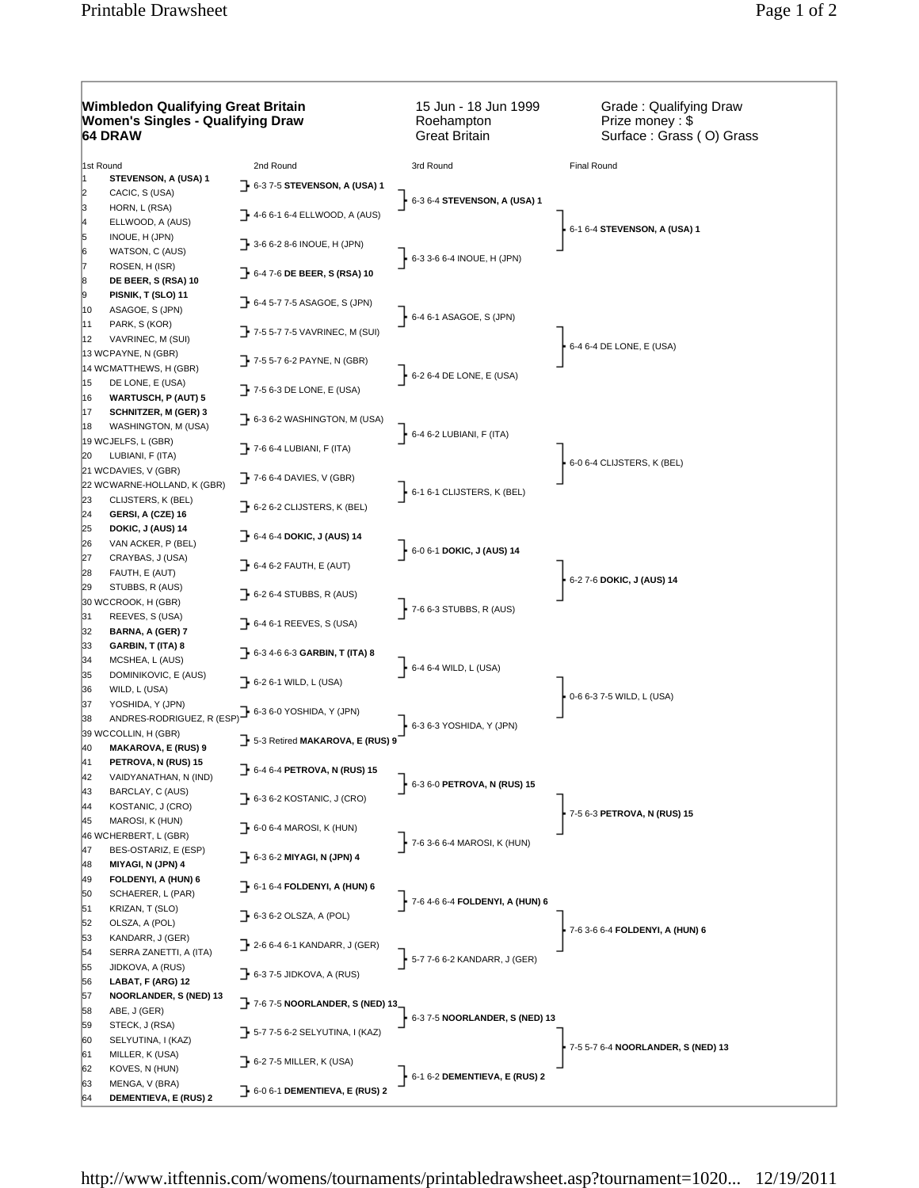## **Wimbledon Qualifying Great Britain Women's Singles - Qualifying Draw 64 DRAW**

15 Jun - 18 Jun 1999 Roehampton Great Britain

Grade : Qualifying Draw Prize money : \$ Surface : Grass ( O) Grass

| 1st Round   |                                                       | 2nd Round                                    | 3rd Round                                  | Final Round                        |  |  |
|-------------|-------------------------------------------------------|----------------------------------------------|--------------------------------------------|------------------------------------|--|--|
| 11          | STEVENSON, A (USA) 1                                  | $\rightarrow$ 6-3 7-5 STEVENSON, A (USA) 1   |                                            |                                    |  |  |
| 2           | CACIC, S (USA)                                        |                                              | $\frac{1}{2}$ 6-3 6-4 STEVENSON, A (USA) 1 | 6-1 6-4 STEVENSON, A (USA) 1       |  |  |
| 3           | HORN, L (RSA)                                         | $\rightarrow$ 4-6 6-1 6-4 ELLWOOD, A (AUS)   |                                            |                                    |  |  |
| 4<br>5<br>6 | ELLWOOD, A (AUS)<br>INOUE, H (JPN)<br>WATSON, C (AUS) | $\rightarrow$ 3-6 6-2 8-6 INOUE, H (JPN)     |                                            |                                    |  |  |
|             | ROSEN, H (ISR)                                        | 6-4 7-6 DE BEER, S (RSA) 10                  | $6-3$ 3-6 6-4 INOUE, H (JPN)               |                                    |  |  |
| 8           | DE BEER, S (RSA) 10                                   |                                              |                                            |                                    |  |  |
| 9<br>10     | PISNIK, T (SLO) 11<br>ASAGOE, S (JPN)                 | $\rightarrow$ 6-4 5-7 7-5 ASAGOE, S (JPN)    | $6-4$ 6-1 ASAGOE, S (JPN)                  |                                    |  |  |
| 11<br>12    | PARK, S (KOR)<br>VAVRINEC, M (SUI)                    | 7-5 5-7 7-5 VAVRINEC, M (SUI)                |                                            | 6-4 6-4 DE LONE, E (USA)           |  |  |
|             | 13 WCPAYNE, N (GBR)<br>14 WCMATTHEWS, H (GBR)         | $\rightarrow$ 7-5 5-7 6-2 PAYNE, N (GBR)     | $6-26-4$ DE LONE, E (USA)                  |                                    |  |  |
| 15<br>16    | DE LONE, E (USA)<br><b>WARTUSCH, P (AUT) 5</b>        | $\rightarrow$ 7-5 6-3 DE LONE, E (USA)       |                                            |                                    |  |  |
| 17<br>18    | <b>SCHNITZER, M (GER) 3</b><br>WASHINGTON, M (USA)    | $\rightarrow$ 6-3 6-2 WASHINGTON, M (USA)    | $6-46-2$ LUBIANI, F (ITA)                  |                                    |  |  |
|             | 19 WCJELFS, L (GBR)                                   | $\rightarrow$ 7-6 6-4 LUBIANI, F (ITA)       |                                            |                                    |  |  |
| 20          | LUBIANI, F (ITA)<br>21 WCDAVIES, V (GBR)              |                                              |                                            | 6-0 6-4 CLIJSTERS, K (BEL)         |  |  |
|             | 22 WCWARNE-HOLLAND, K (GBR)                           | $\rightarrow$ 7-6 6-4 DAVIES, V (GBR)        |                                            |                                    |  |  |
| 23          | CLIJSTERS, K (BEL)                                    | $\rightarrow$ 6-2 6-2 CLIJSTERS, K (BEL)     | $6 - 16 - 1$ CLIJSTERS, K (BEL)            |                                    |  |  |
| 24          | GERSI, A (CZE) 16                                     |                                              |                                            |                                    |  |  |
| 25          | DOKIC, J (AUS) 14                                     | $\rightarrow$ 6-4 6-4 DOKIC, J (AUS) 14      |                                            |                                    |  |  |
| 26<br>27    | VAN ACKER, P (BEL)<br>CRAYBAS, J (USA)                |                                              | $\frac{1}{2}$ 6-0 6-1 DOKIC, J (AUS) 14    |                                    |  |  |
| 28          | FAUTH, E (AUT)                                        | → 6-4 6-2 FAUTH, E (AUT)                     |                                            |                                    |  |  |
| 29          | STUBBS, R (AUS)                                       |                                              |                                            | 6-2 7-6 DOKIC, J (AUS) 14          |  |  |
|             | 30 WCCROOK, H (GBR)                                   | $\rightarrow$ 6-2 6-4 STUBBS, R (AUS)        | $\frac{1}{2}$ 7-6 6-3 STUBBS, R (AUS)      |                                    |  |  |
| 31<br>32    | REEVES, S (USA)<br>BARNA, A (GER) 7                   | $\rightarrow$ 6-4 6-1 REEVES, S (USA)        |                                            |                                    |  |  |
| 33          | GARBIN, T (ITA) 8                                     | $\rightarrow$ 6-3 4-6 6-3 GARBIN, T (ITA) 8  |                                            |                                    |  |  |
| 34<br>35    | MCSHEA, L (AUS)<br>DOMINIKOVIC, E (AUS)               |                                              | $-6-46-4$ WILD, L (USA)                    |                                    |  |  |
| 36          | WILD, L (USA)                                         | $\rightarrow$ 6-2 6-1 WILD, L (USA)          |                                            |                                    |  |  |
| 37          | YOSHIDA, Y (JPN)                                      |                                              |                                            | 0-6 6-3 7-5 WILD, L (USA)          |  |  |
| 38          | ANDRES-RODRIGUEZ, R (ESP) 6-3 6-0 YOSHIDA, Y (JPN)    |                                              | 6-3 6-3 YOSHIDA, Y (JPN)                   |                                    |  |  |
|             | 39 WCCOLLIN, H (GBR)                                  | 7 5-3 Retired MAKAROVA, E (RUS) 9            |                                            |                                    |  |  |
| 40<br>41    | <b>MAKAROVA, E (RUS) 9</b><br>PETROVA, N (RUS) 15     |                                              |                                            |                                    |  |  |
| 42          | VAIDYANATHAN, N (IND)                                 | $\rightarrow$ 6-4 6-4 PETROVA, N (RUS) 15    |                                            |                                    |  |  |
| 43          | BARCLAY, C (AUS)                                      |                                              | 6-3 6-0 PETROVA, N (RUS) 15                |                                    |  |  |
| 44          | KOSTANIC, J (CRO)                                     | $\rightarrow$ 6-3 6-2 KOSTANIC, J (CRO)      |                                            | 7-5 6-3 PETROVA, N (RUS) 15        |  |  |
| 45          | MAROSI, K (HUN)                                       | $\rightarrow$ 6-0 6-4 MAROSI, K (HUN)        |                                            |                                    |  |  |
| 47          | 46 WCHERBERT, L (GBR)<br>BES-OSTARIZ, E (ESP)         |                                              | $-7 - 63 - 66 - 4$ MAROSI, K (HUN)         |                                    |  |  |
| 48          | MIYAGI, N (JPN) 4                                     | - 6-3 6-2 MIYAGI, N (JPN) 4                  |                                            |                                    |  |  |
| 49          | FOLDENYI, A (HUN) 6                                   |                                              |                                            |                                    |  |  |
| 50          | SCHAERER, L (PAR)                                     | - 6-1 6-4 FOLDENYI, A (HUN) 6                | $-7 - 64 - 66 - 4$ FOLDENYI, A (HUN) 6     |                                    |  |  |
| 51          | KRIZAN, T (SLO)                                       | $\rightarrow$ 6-3 6-2 OLSZA, A (POL)         |                                            |                                    |  |  |
| 52          | OLSZA, A (POL)                                        |                                              |                                            | 7-6 3-6 6-4 FOLDENYI, A (HUN) 6    |  |  |
| 53<br>54    | KANDARR, J (GER)<br>SERRA ZANETTI, A (ITA)            | $\rightarrow$ 2-6 6-4 6-1 KANDARR, J (GER)   |                                            |                                    |  |  |
| 55          | JIDKOVA, A (RUS)                                      |                                              | $\frac{1}{2}$ 5-7 7-6 6-2 KANDARR, J (GER) |                                    |  |  |
| 56          | LABAT, F (ARG) 12                                     | $\rightarrow$ 6-3 7-5 JIDKOVA, A (RUS)       |                                            |                                    |  |  |
| 57<br>58    | NOORLANDER, S (NED) 13<br>ABE, J (GER)                | $\rightarrow$ 7-6 7-5 NOORLANDER, S (NED) 13 | 6-3 7-5 NOORLANDER, S (NED) 13             |                                    |  |  |
| 59          | STECK, J (RSA)                                        | $\rightarrow$ 5-7 7-5 6-2 SELYUTINA, I (KAZ) |                                            |                                    |  |  |
| 60          | SELYUTINA, I (KAZ)                                    |                                              |                                            | 7-5 5-7 6-4 NOORLANDER, S (NED) 13 |  |  |
| 61<br>62    | MILLER, K (USA)<br>KOVES, N (HUN)                     | $\rightarrow$ 6-2 7-5 MILLER, K (USA)        |                                            |                                    |  |  |
| 63          | MENGA, V (BRA)                                        |                                              | $6 - 16 - 2$ DEMENTIEVA, E (RUS) 2         |                                    |  |  |
| 64          | DEMENTIEVA, E (RUS) 2                                 | $\rightarrow$ 6-0 6-1 DEMENTIEVA, E (RUS) 2  |                                            |                                    |  |  |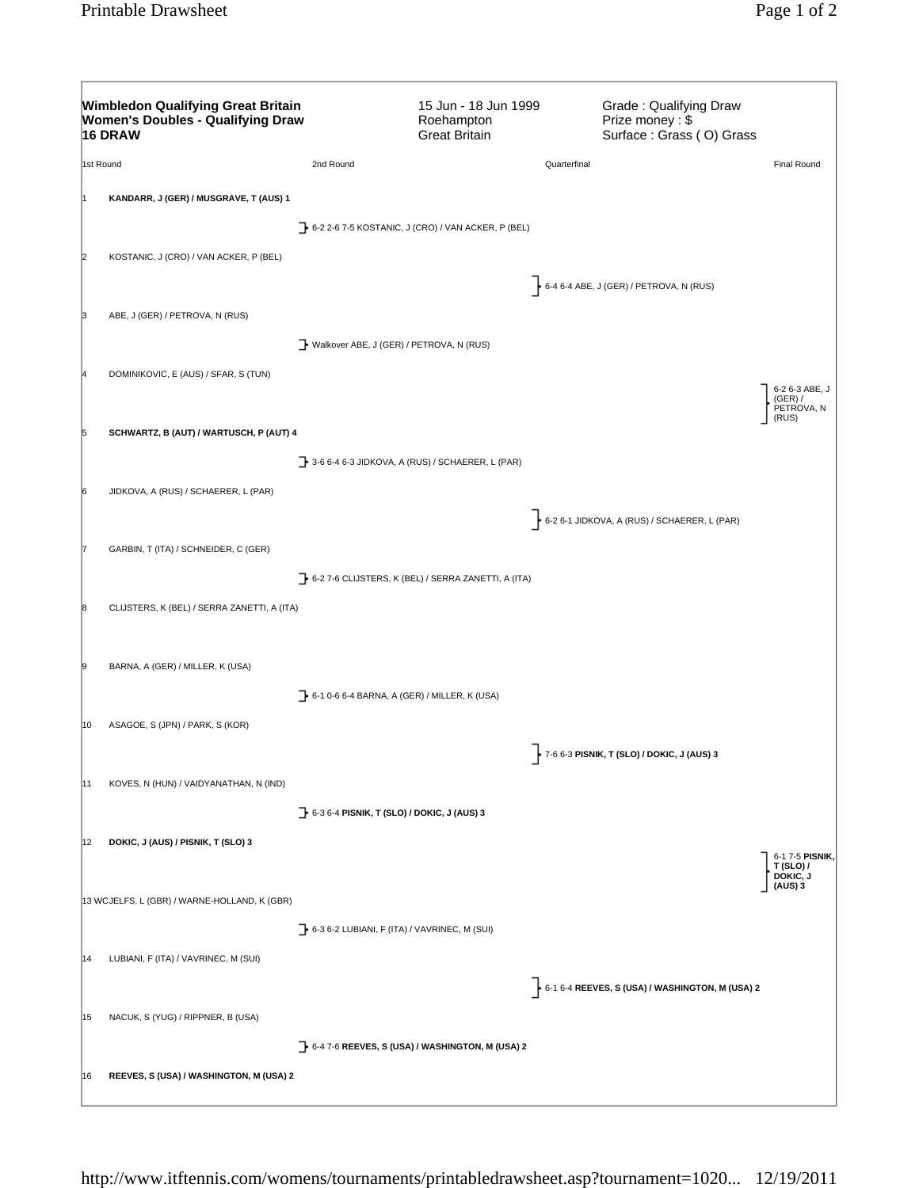|           | <b>Wimbledon Qualifying Great Britain</b><br><b>Women's Doubles - Qualifying Draw</b><br>16 DRAW |                                                                  | 15 Jun - 18 Jun 1999<br>Roehampton<br><b>Great Britain</b> |                                            | Grade: Qualifying Draw<br>Prize money: \$<br>Surface: Grass (O) Grass |                                                  |
|-----------|--------------------------------------------------------------------------------------------------|------------------------------------------------------------------|------------------------------------------------------------|--------------------------------------------|-----------------------------------------------------------------------|--------------------------------------------------|
| 1st Round |                                                                                                  | 2nd Round                                                        |                                                            | Quarterfinal                               |                                                                       | <b>Final Round</b>                               |
|           | KANDARR, J (GER) / MUSGRAVE, T (AUS) 1                                                           |                                                                  |                                                            |                                            |                                                                       |                                                  |
|           |                                                                                                  | $\rightarrow$ 6-2 2-6 7-5 KOSTANIC, J (CRO) / VAN ACKER, P (BEL) |                                                            |                                            |                                                                       |                                                  |
|           | KOSTANIC, J (CRO) / VAN ACKER, P (BEL)                                                           |                                                                  |                                                            |                                            |                                                                       |                                                  |
|           |                                                                                                  |                                                                  |                                                            | 6-4 6-4 ABE, J (GER) / PETROVA, N (RUS)    |                                                                       |                                                  |
|           | ABE, J (GER) / PETROVA, N (RUS)                                                                  |                                                                  |                                                            |                                            |                                                                       |                                                  |
|           |                                                                                                  | Walkover ABE, J (GER) / PETROVA, N (RUS)                         |                                                            |                                            |                                                                       |                                                  |
|           | DOMINIKOVIC, E (AUS) / SFAR, S (TUN)                                                             |                                                                  |                                                            |                                            |                                                                       |                                                  |
|           |                                                                                                  |                                                                  |                                                            |                                            |                                                                       | 6-2 6-3 ABE, J<br>(GER) /<br>PETROVA, N<br>(RUS) |
|           | SCHWARTZ, B (AUT) / WARTUSCH, P (AUT) 4                                                          |                                                                  |                                                            |                                            |                                                                       |                                                  |
|           |                                                                                                  | 3-6 6-4 6-3 JIDKOVA, A (RUS) / SCHAERER, L (PAR)                 |                                                            |                                            |                                                                       |                                                  |
|           | JIDKOVA, A (RUS) / SCHAERER, L (PAR)                                                             |                                                                  |                                                            |                                            |                                                                       |                                                  |
|           |                                                                                                  |                                                                  |                                                            |                                            | 6-2 6-1 JIDKOVA, A (RUS) / SCHAERER, L (PAR)                          |                                                  |
|           | GARBIN, T (ITA) / SCHNEIDER, C (GER)                                                             |                                                                  |                                                            |                                            |                                                                       |                                                  |
|           |                                                                                                  | 6-2 7-6 CLIJSTERS, K (BEL) / SERRA ZANETTI, A (ITA)              |                                                            |                                            |                                                                       |                                                  |
|           | CLIJSTERS, K (BEL) / SERRA ZANETTI, A (ITA)                                                      |                                                                  |                                                            |                                            |                                                                       |                                                  |
|           |                                                                                                  |                                                                  |                                                            |                                            |                                                                       |                                                  |
|           | BARNA, A (GER) / MILLER, K (USA)                                                                 |                                                                  |                                                            |                                            |                                                                       |                                                  |
|           |                                                                                                  | 1 6-1 0-6 6-4 BARNA, A (GER) / MILLER, K (USA)                   |                                                            |                                            |                                                                       |                                                  |
| 10        | ASAGOE, S (JPN) / PARK, S (KOR)                                                                  |                                                                  |                                                            |                                            |                                                                       |                                                  |
|           |                                                                                                  |                                                                  |                                                            | 7-6 6-3 PISNIK, T (SLO) / DOKIC, J (AUS) 3 |                                                                       |                                                  |
| 11        | KOVES, N (HUN) / VAIDYANATHAN, N (IND)                                                           |                                                                  |                                                            |                                            |                                                                       |                                                  |
|           |                                                                                                  | <b>]</b> 6-3 6-4 PISNIK, T (SLO) / DOKIC, J (AUS) 3              |                                                            |                                            |                                                                       |                                                  |
| 12        | DOKIC, J (AUS) / PISNIK, T (SLO) 3                                                               |                                                                  |                                                            |                                            |                                                                       | 6-1 7-5 PISNIK                                   |
|           |                                                                                                  |                                                                  |                                                            |                                            |                                                                       | $T(SLO)$ /<br>DOKIC, J<br>(AUS) 3                |
|           | 13 WCJELFS, L (GBR) / WARNE-HOLLAND, K (GBR)                                                     |                                                                  |                                                            |                                            |                                                                       |                                                  |
|           |                                                                                                  | $\rightarrow$ 6-3 6-2 LUBIANI, F (ITA) / VAVRINEC, M (SUI)       |                                                            |                                            |                                                                       |                                                  |
| 14        | LUBIANI, F (ITA) / VAVRINEC, M (SUI)                                                             |                                                                  |                                                            |                                            |                                                                       |                                                  |
|           |                                                                                                  |                                                                  |                                                            |                                            | $\frac{1}{2}$ 6-1 6-4 REEVES, S (USA) / WASHINGTON, M (USA) 2         |                                                  |
| 15        | NACUK, S (YUG) / RIPPNER, B (USA)                                                                |                                                                  |                                                            |                                            |                                                                       |                                                  |
|           |                                                                                                  | $\rightarrow$ 6-4 7-6 REEVES, S (USA) / WASHINGTON, M (USA) 2    |                                                            |                                            |                                                                       |                                                  |
| 16        | REEVES, S (USA) / WASHINGTON, M (USA) 2                                                          |                                                                  |                                                            |                                            |                                                                       |                                                  |